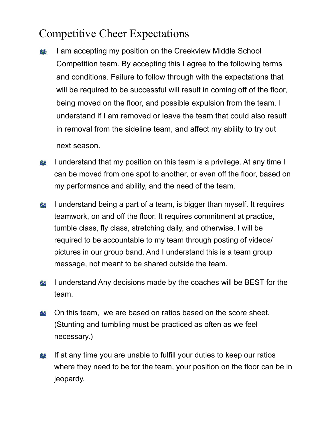# Competitive Cheer Expectations

I am accepting my position on the Creekview Middle School  $\left(\frac{1}{2}\right)$ Competition team. By accepting this I agree to the following terms and conditions. Failure to follow through with the expectations that will be required to be successful will result in coming off of the floor, being moved on the floor, and possible expulsion from the team. I understand if I am removed or leave the team that could also result in removal from the sideline team, and affect my ability to try out

next season.

- I understand that my position on this team is a privilege. At any time I  $\left(\frac{1}{2}\right)$ can be moved from one spot to another, or even off the floor, based on my performance and ability, and the need of the team.
- I understand being a part of a team, is bigger than myself. It requires  $\frac{1}{2}$ teamwork, on and off the floor. It requires commitment at practice, tumble class, fly class, stretching daily, and otherwise. I will be required to be accountable to my team through posting of videos/ pictures in our group band. And I understand this is a team group message, not meant to be shared outside the team.
- I understand Any decisions made by the coaches will be BEST for the  $\left(\frac{1}{2}\right)$ team.
- On this team, we are based on ratios based on the score sheet.  $\left(\frac{1}{2}\right)$ (Stunting and tumbling must be practiced as often as we feel necessary.)
- **If at any time you are unable to fulfill your duties to keep our ratios** where they need to be for the team, your position on the floor can be in jeopardy.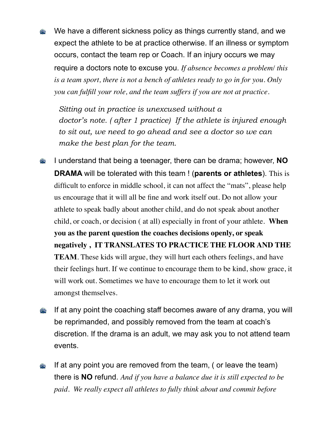We have a different sickness policy as things currently stand, and we  $(1)$ expect the athlete to be at practice otherwise. If an illness or symptom occurs, contact the team rep or Coach. If an injury occurs we may require a doctors note to excuse you. *If absence becomes a problem/ this is a team sport, there is not a bench of athletes ready to go in for you. Only you can fulfill your role, and the team suffers if you are not at practice.* 

*Sitting out in practice is unexcused without a doctor's note. ( after 1 practice) If the athlete is injured enough to sit out, we need to go ahead and see a doctor so we can make the best plan for the team.* 

- I understand that being a teenager, there can be drama; however, **NO**   $\left(\frac{1}{2}\right)$ **DRAMA** will be tolerated with this team ! (**parents or athletes**). This is difficult to enforce in middle school, it can not affect the "mats", please help us encourage that it will all be fine and work itself out. Do not allow your athlete to speak badly about another child, and do not speak about another child, or coach, or decision ( at all) especially in front of your athlete. **When you as the parent question the coaches decisions openly, or speak negatively , IT TRANSLATES TO PRACTICE THE FLOOR AND THE TEAM**. These kids will argue, they will hurt each others feelings, and have their feelings hurt. If we continue to encourage them to be kind, show grace, it will work out. Sometimes we have to encourage them to let it work out amongst themselves.
- If at any point the coaching staff becomes aware of any drama, you will  $\left(\frac{1}{2}\right)$ be reprimanded, and possibly removed from the team at coach's discretion. If the drama is an adult, we may ask you to not attend team events.
- $\left(\frac{1}{2}\right)$ If at any point you are removed from the team, ( or leave the team) there is **NO** refund. *And if you have a balance due it is still expected to be paid. We really expect all athletes to fully think about and commit before*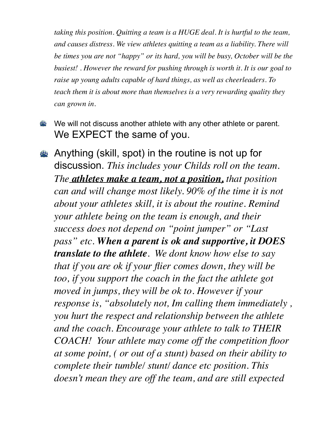*taking this position. Quitting a team is a HUGE deal. It is hurtful to the team, and causes distress. We view athletes quitting a team as a liability. There will be times you are not "happy" or its hard, you will be busy, October will be the busiest! . However the reward for pushing through is worth it. It is our goal to raise up young adults capable of hard things, as well as cheerleaders. To teach them it is about more than themselves is a very rewarding quality they can grown in.*

- We will not discuss another athlete with any other athlete or parent.  $\frac{1}{2}$ We EXPECT the same of you.
- Anything (skill, spot) in the routine is not up for discussion. *This includes your Childs roll on the team. The athletes make a team, not a position, that position can and will change most likely. 90% of the time it is not about your athletes skill, it is about the routine. Remind your athlete being on the team is enough, and their success does not depend on "point jumper" or "Last pass" etc. When a parent is ok and supportive, it DOES translate to the athlete. We dont know how else to say that if you are ok if your flier comes down, they will be too, if you support the coach in the fact the athlete got moved in jumps, they will be ok to. However if your response is, "absolutely not, Im calling them immediately , you hurt the respect and relationship between the athlete and the coach. Encourage your athlete to talk to THEIR COACH! Your athlete may come off the competition floor at some point, ( or out of a stunt) based on their ability to complete their tumble/ stunt/ dance etc position. This doesn't mean they are off the team, and are still expected*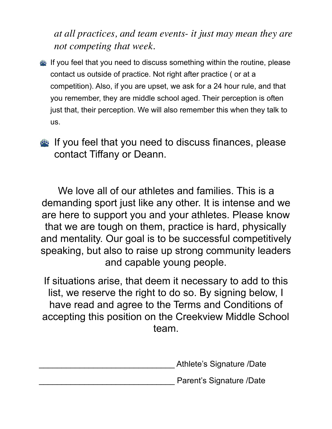*at all practices, and team events- it just may mean they are not competing that week.* 

- If you feel that you need to discuss something within the routine, please contact us outside of practice. Not right after practice ( or at a competition). Also, if you are upset, we ask for a 24 hour rule, and that you remember, they are middle school aged. Their perception is often just that, their perception. We will also remember this when they talk to us.
- If you feel that you need to discuss finances, please contact Tiffany or Deann.

We love all of our athletes and families. This is a demanding sport just like any other. It is intense and we are here to support you and your athletes. Please know that we are tough on them, practice is hard, physically and mentality. Our goal is to be successful competitively speaking, but also to raise up strong community leaders and capable young people.

If situations arise, that deem it necessary to add to this list, we reserve the right to do so. By signing below, I have read and agree to the Terms and Conditions of accepting this position on the Creekview Middle School team.

\_\_\_\_\_\_\_\_\_\_\_\_\_\_\_\_\_\_\_\_\_\_\_\_\_\_\_\_\_\_ Athlete's Signature /Date

Parent's Signature /Date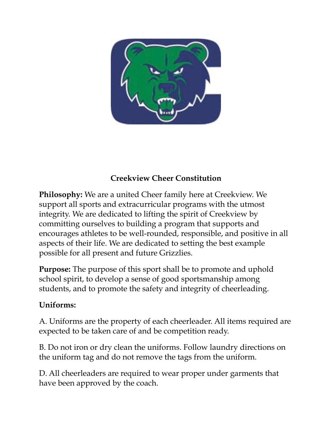

### **Creekview Cheer Constitution**

**Philosophy:** We are a united Cheer family here at Creekview. We support all sports and extracurricular programs with the utmost integrity. We are dedicated to lifting the spirit of Creekview by committing ourselves to building a program that supports and encourages athletes to be well-rounded, responsible, and positive in all aspects of their life. We are dedicated to setting the best example possible for all present and future Grizzlies.

**Purpose:** The purpose of this sport shall be to promote and uphold school spirit, to develop a sense of good sportsmanship among students, and to promote the safety and integrity of cheerleading.

#### **Uniforms:**

A. Uniforms are the property of each cheerleader. All items required are expected to be taken care of and be competition ready.

B. Do not iron or dry clean the uniforms. Follow laundry directions on the uniform tag and do not remove the tags from the uniform.

D. All cheerleaders are required to wear proper under garments that have been approved by the coach.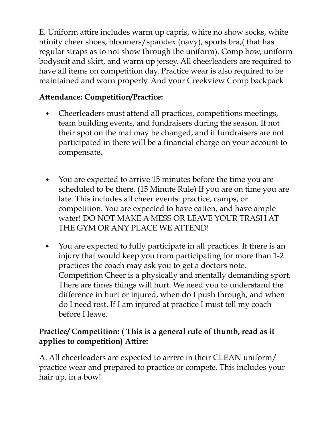E. Uniform attire includes warm up capris, white no show socks, white nfinity cheer shoes, bloomers/spandex (navy), sports bra,( that has regular straps as to not show through the uniform). Comp bow, uniform bodysuit and skirt, and warm up jersey. All cheerleaders are required to have all items on competition day. Practice wear is also required to be maintained and worn properly. And your Creekview Comp backpack

## **Attendance: Competition/Practice:**

- Cheerleaders must attend all practices, competitions meetings, team building events, and fundraisers during the season. If not their spot on the mat may be changed, and if fundraisers are not participated in there will be a financial charge on your account to compensate.
- You are expected to arrive 15 minutes before the time you are scheduled to be there. (15 Minute Rule) If you are on time you are late. This includes all cheer events: practice, camps, or competition. You are expected to have eatten, and have ample water! DO NOT MAKE A MESS OR LEAVE YOUR TRASH AT THE GYM OR ANY PLACE WE ATTEND!
- You are expected to fully participate in all practices. If there is an injury that would keep you from participating for more than 1-2 practices the coach may ask you to get a doctors note. Competition Cheer is a physically and mentally demanding sport. There are times things will hurt. We need you to understand the difference in hurt or injured, when do I push through, and when do I need rest. If I am injured at practice I must tell my coach before I leave.

### **Practice/ Competition: ( This is a general rule of thumb, read as it applies to competition) Attire:**

A. All cheerleaders are expected to arrive in their CLEAN uniform/ practice wear and prepared to practice or compete. This includes your hair up, in a bow!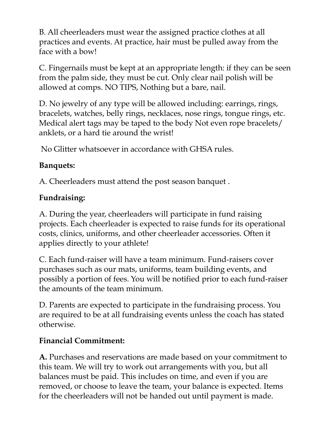B. All cheerleaders must wear the assigned practice clothes at all practices and events. At practice, hair must be pulled away from the face with a bow!

C. Fingernails must be kept at an appropriate length: if they can be seen from the palm side, they must be cut. Only clear nail polish will be allowed at comps. NO TIPS, Nothing but a bare, nail.

D. No jewelry of any type will be allowed including: earrings, rings, bracelets, watches, belly rings, necklaces, nose rings, tongue rings, etc. Medical alert tags may be taped to the body Not even rope bracelets/ anklets, or a hard tie around the wrist!

No Glitter whatsoever in accordance with GHSA rules.

### **Banquets:**

A. Cheerleaders must attend the post season banquet .

## **Fundraising:**

A. During the year, cheerleaders will participate in fund raising projects. Each cheerleader is expected to raise funds for its operational costs, clinics, uniforms, and other cheerleader accessories. Often it applies directly to your athlete!

C. Each fund-raiser will have a team minimum. Fund-raisers cover purchases such as our mats, uniforms, team building events, and possibly a portion of fees. You will be notified prior to each fund-raiser the amounts of the team minimum.

D. Parents are expected to participate in the fundraising process. You are required to be at all fundraising events unless the coach has stated otherwise.

## **Financial Commitment:**

**A.** Purchases and reservations are made based on your commitment to this team. We will try to work out arrangements with you, but all balances must be paid. This includes on time, and even if you are removed, or choose to leave the team, your balance is expected. Items for the cheerleaders will not be handed out until payment is made.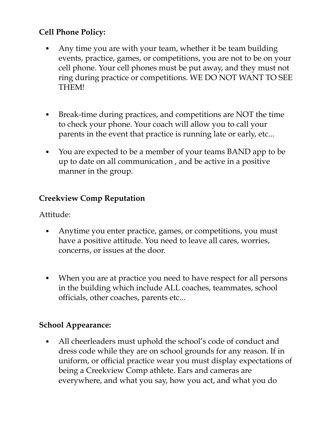#### **Cell Phone Policy:**

- Any time you are with your team, whether it be team building events, practice, games, or competitions, you are not to be on your cell phone. Your cell phones must be put away, and they must not ring during practice or competitions. WE DO NOT WANT TO SEE THEM!
- Break-time during practices, and competitions are NOT the time to check your phone. Your coach will allow you to call your parents in the event that practice is running late or early, etc...
- You are expected to be a member of your teams BAND app to be up to date on all communication , and be active in a positive manner in the group.

#### **Creekview Comp Reputation**

Attitude:

- Anytime you enter practice, games, or competitions, you must have a positive attitude. You need to leave all cares, worries, concerns, or issues at the door.
- When you are at practice you need to have respect for all persons in the building which include ALL coaches, teammates, school officials, other coaches, parents etc...

#### **School Appearance:**

• All cheerleaders must uphold the school's code of conduct and dress code while they are on school grounds for any reason. If in uniform, or official practice wear you must display expectations of being a Creekview Comp athlete. Ears and cameras are everywhere, and what you say, how you act, and what you do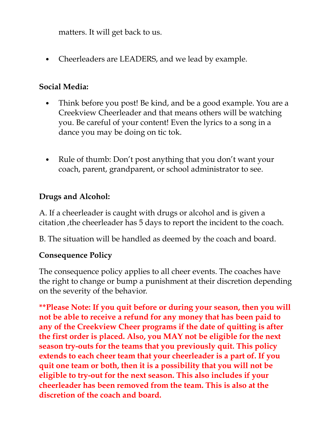matters. It will get back to us.

• Cheerleaders are LEADERS, and we lead by example.

#### **Social Media:**

- Think before you post! Be kind, and be a good example. You are a Creekview Cheerleader and that means others will be watching you. Be careful of your content! Even the lyrics to a song in a dance you may be doing on tic tok.
- Rule of thumb: Don't post anything that you don't want your coach, parent, grandparent, or school administrator to see.

### **Drugs and Alcohol:**

A. If a cheerleader is caught with drugs or alcohol and is given a citation ,the cheerleader has 5 days to report the incident to the coach.

B. The situation will be handled as deemed by the coach and board.

### **Consequence Policy**

The consequence policy applies to all cheer events. The coaches have the right to change or bump a punishment at their discretion depending on the severity of the behavior.

**\*\*Please Note: If you quit before or during your season, then you will not be able to receive a refund for any money that has been paid to any of the Creekview Cheer programs if the date of quitting is after the first order is placed. Also, you MAY not be eligible for the next season try-outs for the teams that you previously quit. This policy extends to each cheer team that your cheerleader is a part of. If you quit one team or both, then it is a possibility that you will not be eligible to try-out for the next season. This also includes if your cheerleader has been removed from the team. This is also at the discretion of the coach and board.**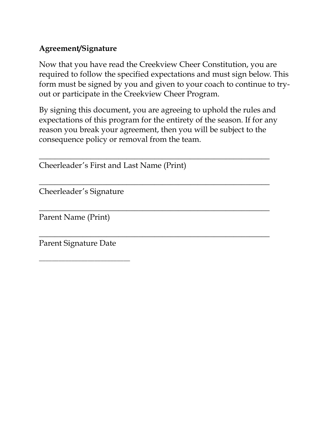#### **Agreement/Signature**

Now that you have read the Creekview Cheer Constitution, you are required to follow the specified expectations and must sign below. This form must be signed by you and given to your coach to continue to tryout or participate in the Creekview Cheer Program.

By signing this document, you are agreeing to uphold the rules and expectations of this program for the entirety of the season. If for any reason you break your agreement, then you will be subject to the consequence policy or removal from the team.

\_\_\_\_\_\_\_\_\_\_\_\_\_\_\_\_\_\_\_\_\_\_\_\_\_\_\_\_\_\_\_\_\_\_\_\_\_\_\_\_\_\_\_\_\_\_\_\_\_\_\_\_\_\_\_\_\_\_

\_\_\_\_\_\_\_\_\_\_\_\_\_\_\_\_\_\_\_\_\_\_\_\_\_\_\_\_\_\_\_\_\_\_\_\_\_\_\_\_\_\_\_\_\_\_\_\_\_\_\_\_\_\_\_\_\_\_

\_\_\_\_\_\_\_\_\_\_\_\_\_\_\_\_\_\_\_\_\_\_\_\_\_\_\_\_\_\_\_\_\_\_\_\_\_\_\_\_\_\_\_\_\_\_\_\_\_\_\_\_\_\_\_\_\_\_

\_\_\_\_\_\_\_\_\_\_\_\_\_\_\_\_\_\_\_\_\_\_\_\_\_\_\_\_\_\_\_\_\_\_\_\_\_\_\_\_\_\_\_\_\_\_\_\_\_\_\_\_\_\_\_\_\_\_

Cheerleader's First and Last Name (Print)

Cheerleader's Signature

Parent Name (Print)

Parent Signature Date

\_\_\_\_\_\_\_\_\_\_\_\_\_\_\_\_\_\_\_\_\_\_\_\_\_\_\_\_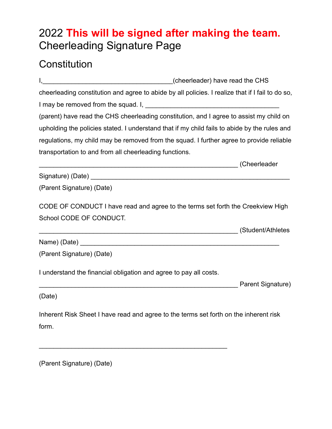## 2022 **This will be signed after making the team.**  Cheerleading Signature Page

## **Constitution**

I,\_\_\_\_\_\_\_\_\_\_\_\_\_\_\_\_\_\_\_\_\_\_\_\_\_\_\_\_\_\_\_\_\_\_\_\_(cheerleader) have read the CHS cheerleading constitution and agree to abide by all policies. I realize that if I fail to do so, I may be removed from the squad. I, (parent) have read the CHS cheerleading constitution, and I agree to assist my child on upholding the policies stated. I understand that if my child fails to abide by the rules and regulations, my child may be removed from the squad. I further agree to provide reliable transportation to and from all cheerleading functions. \_\_\_\_\_\_\_\_\_\_\_\_\_\_\_\_\_\_\_\_\_\_\_\_\_\_\_\_\_\_\_\_\_\_\_\_\_\_\_\_\_\_\_\_\_\_\_\_\_\_\_\_\_\_\_ (Cheerleader Signature) (Date) \_\_\_\_\_\_\_\_\_\_\_\_\_\_\_\_\_\_\_\_\_\_\_\_\_\_\_\_\_\_\_\_\_\_\_\_\_\_\_\_\_\_\_\_\_\_\_\_\_\_\_\_\_\_\_ (Parent Signature) (Date) CODE OF CONDUCT I have read and agree to the terms set forth the Creekview High School CODE OF CONDUCT. \_\_\_\_\_\_\_\_\_\_\_\_\_\_\_\_\_\_\_\_\_\_\_\_\_\_\_\_\_\_\_\_\_\_\_\_\_\_\_\_\_\_\_\_\_\_\_\_\_\_\_\_\_\_\_ (Student/Athletes Name) (Date)  $\Box$ (Parent Signature) (Date)

I understand the financial obligation and agree to pay all costs.

\_\_\_\_\_\_\_\_\_\_\_\_\_\_\_\_\_\_\_\_\_\_\_\_\_\_\_\_\_\_\_\_\_\_\_\_\_\_\_\_\_\_\_\_\_\_\_\_\_\_\_\_

external contract that the part of the Parent Signature)

(Date)

Inherent Risk Sheet I have read and agree to the terms set forth on the inherent risk form.

(Parent Signature) (Date)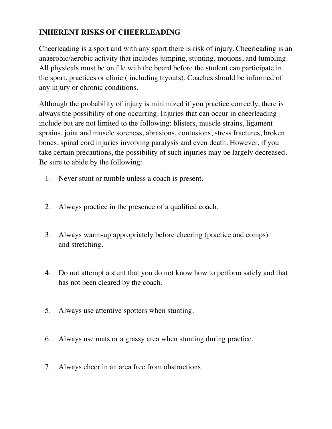#### **INHERENT RISKS OF CHEERLEADING**

Cheerleading is a sport and with any sport there is risk of injury. Cheerleading is an anaerobic/aerobic activity that includes jumping, stunting, motions, and tumbling. All physicals must be on file with the board before the student can participate in the sport, practices or clinic ( including tryouts). Coaches should be informed of any injury or chronic conditions.

Although the probability of injury is minimized if you practice correctly, there is always the possibility of one occurring. Injuries that can occur in cheerleading include but are not limited to the following: blisters, muscle strains, ligament sprains, joint and muscle soreness, abrasions, contusions, stress fractures, broken bones, spinal cord injuries involving paralysis and even death. However, if you take certain precautions, the possibility of such injuries may be largely decreased. Be sure to abide by the following:

- 1. Never stunt or tumble unless a coach is present.
- 2. Always practice in the presence of a qualified coach.
- 3. Always warm-up appropriately before cheering (practice and comps) and stretching.
- 4. Do not attempt a stunt that you do not know how to perform safely and that has not been cleared by the coach.
- 5. Always use attentive spotters when stunting.
- 6. Always use mats or a grassy area when stunting during practice.
- 7. Always cheer in an area free from obstructions.